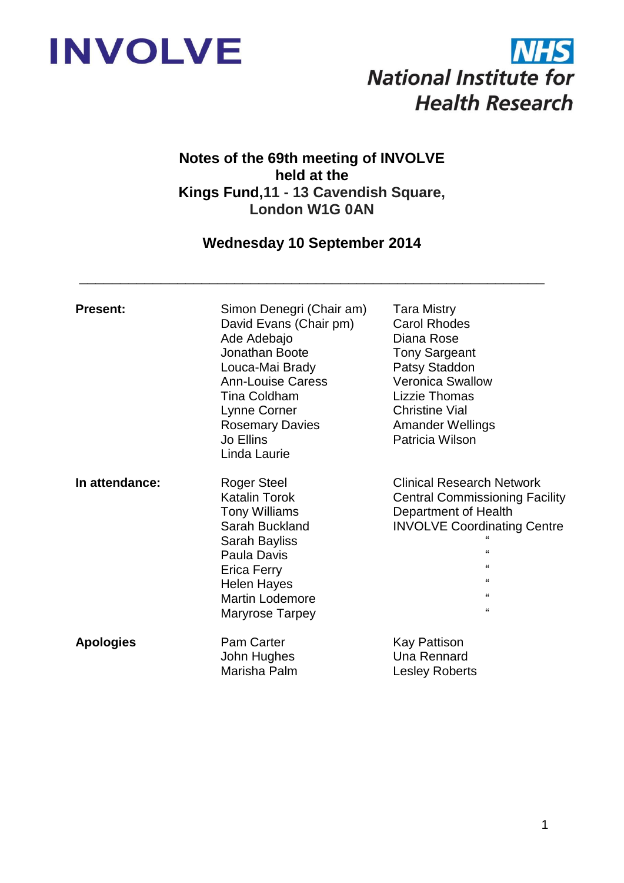



# **Notes of the 69th meeting of INVOLVE held at the Kings Fund,11 - 13 Cavendish Square, London W1G 0AN**

# **Wednesday 10 September 2014**

\_\_\_\_\_\_\_\_\_\_\_\_\_\_\_\_\_\_\_\_\_\_\_\_\_\_\_\_\_\_\_\_\_\_\_\_\_\_\_\_\_\_\_\_\_\_\_\_\_\_\_\_\_\_\_\_\_

| <b>Present:</b>  | Simon Denegri (Chair am)<br>David Evans (Chair pm)<br>Ade Adebajo<br>Jonathan Boote<br>Louca-Mai Brady<br><b>Ann-Louise Caress</b><br><b>Tina Coldham</b><br>Lynne Corner<br><b>Rosemary Davies</b><br>Jo Ellins<br>Linda Laurie | <b>Tara Mistry</b><br><b>Carol Rhodes</b><br>Diana Rose<br><b>Tony Sargeant</b><br>Patsy Staddon<br><b>Veronica Swallow</b><br><b>Lizzie Thomas</b><br><b>Christine Vial</b><br><b>Amander Wellings</b><br>Patricia Wilson      |
|------------------|----------------------------------------------------------------------------------------------------------------------------------------------------------------------------------------------------------------------------------|---------------------------------------------------------------------------------------------------------------------------------------------------------------------------------------------------------------------------------|
| In attendance:   | <b>Roger Steel</b><br><b>Katalin Torok</b><br><b>Tony Williams</b><br>Sarah Buckland<br>Sarah Bayliss<br>Paula Davis<br><b>Erica Ferry</b><br><b>Helen Hayes</b><br>Martin Lodemore<br>Maryrose Tarpey                           | <b>Clinical Research Network</b><br><b>Central Commissioning Facility</b><br>Department of Health<br><b>INVOLVE Coordinating Centre</b><br>$\mathbf{G}$<br>$\epsilon$<br>$\epsilon$<br>$\pmb{\mathfrak{c}}$<br>$\pmb{\epsilon}$ |
| <b>Apologies</b> | <b>Pam Carter</b><br>John Hughes<br>Marisha Palm                                                                                                                                                                                 | Kay Pattison<br>Una Rennard<br><b>Lesley Roberts</b>                                                                                                                                                                            |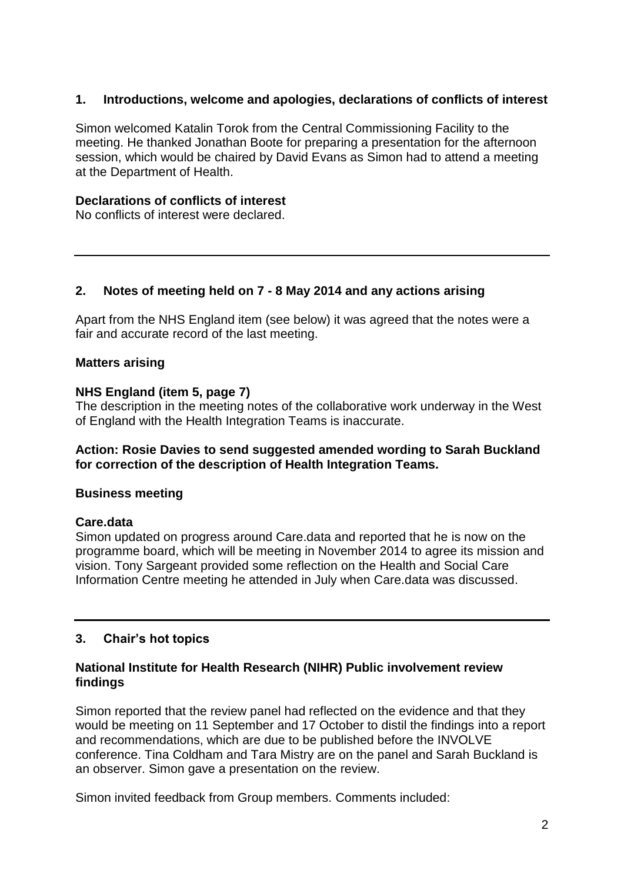# **1. Introductions, welcome and apologies, declarations of conflicts of interest**

Simon welcomed Katalin Torok from the Central Commissioning Facility to the meeting. He thanked Jonathan Boote for preparing a presentation for the afternoon session, which would be chaired by David Evans as Simon had to attend a meeting at the Department of Health.

# **Declarations of conflicts of interest**

No conflicts of interest were declared.

# **2. Notes of meeting held on 7 - 8 May 2014 and any actions arising**

Apart from the NHS England item (see below) it was agreed that the notes were a fair and accurate record of the last meeting.

# **Matters arising**

# **NHS England (item 5, page 7)**

The description in the meeting notes of the collaborative work underway in the West of England with the Health Integration Teams is inaccurate.

# **Action: Rosie Davies to send suggested amended wording to Sarah Buckland for correction of the description of Health Integration Teams.**

# **Business meeting**

# **Care.data**

Simon updated on progress around Care.data and reported that he is now on the programme board, which will be meeting in November 2014 to agree its mission and vision. Tony Sargeant provided some reflection on the Health and Social Care Information Centre meeting he attended in July when Care.data was discussed.

# **3. Chair's hot topics**

# **National Institute for Health Research (NIHR) Public involvement review findings**

Simon reported that the review panel had reflected on the evidence and that they would be meeting on 11 September and 17 October to distil the findings into a report and recommendations, which are due to be published before the INVOLVE conference. Tina Coldham and Tara Mistry are on the panel and Sarah Buckland is an observer. Simon gave a presentation on the review.

Simon invited feedback from Group members. Comments included: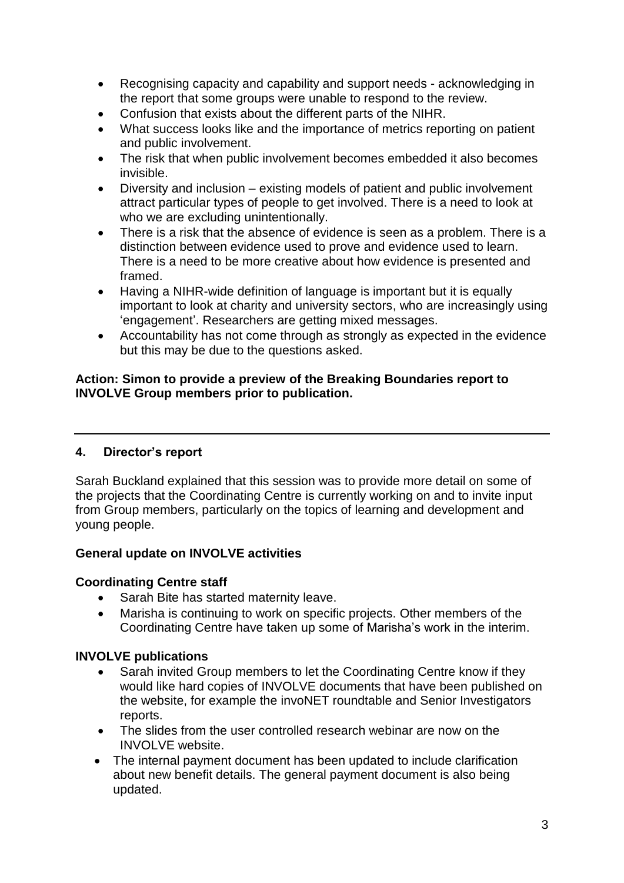- Recognising capacity and capability and support needs acknowledging in the report that some groups were unable to respond to the review.
- Confusion that exists about the different parts of the NIHR.
- What success looks like and the importance of metrics reporting on patient and public involvement.
- The risk that when public involvement becomes embedded it also becomes invisible.
- Diversity and inclusion existing models of patient and public involvement attract particular types of people to get involved. There is a need to look at who we are excluding unintentionally.
- There is a risk that the absence of evidence is seen as a problem. There is a distinction between evidence used to prove and evidence used to learn. There is a need to be more creative about how evidence is presented and framed.
- Having a NIHR-wide definition of language is important but it is equally important to look at charity and university sectors, who are increasingly using 'engagement'. Researchers are getting mixed messages.
- Accountability has not come through as strongly as expected in the evidence but this may be due to the questions asked.

# **Action: Simon to provide a preview of the Breaking Boundaries report to INVOLVE Group members prior to publication.**

# **4. Director's report**

Sarah Buckland explained that this session was to provide more detail on some of the projects that the Coordinating Centre is currently working on and to invite input from Group members, particularly on the topics of learning and development and young people.

# **General update on INVOLVE activities**

# **Coordinating Centre staff**

- Sarah Bite has started maternity leave.
- Marisha is continuing to work on specific projects. Other members of the Coordinating Centre have taken up some of Marisha's work in the interim.

# **INVOLVE publications**

- Sarah invited Group members to let the Coordinating Centre know if they would like hard copies of INVOLVE documents that have been published on the website, for example the invoNET roundtable and Senior Investigators reports.
- The slides from the user controlled research webinar are now on the INVOLVE website.
- The internal payment document has been updated to include clarification about new benefit details. The general payment document is also being updated.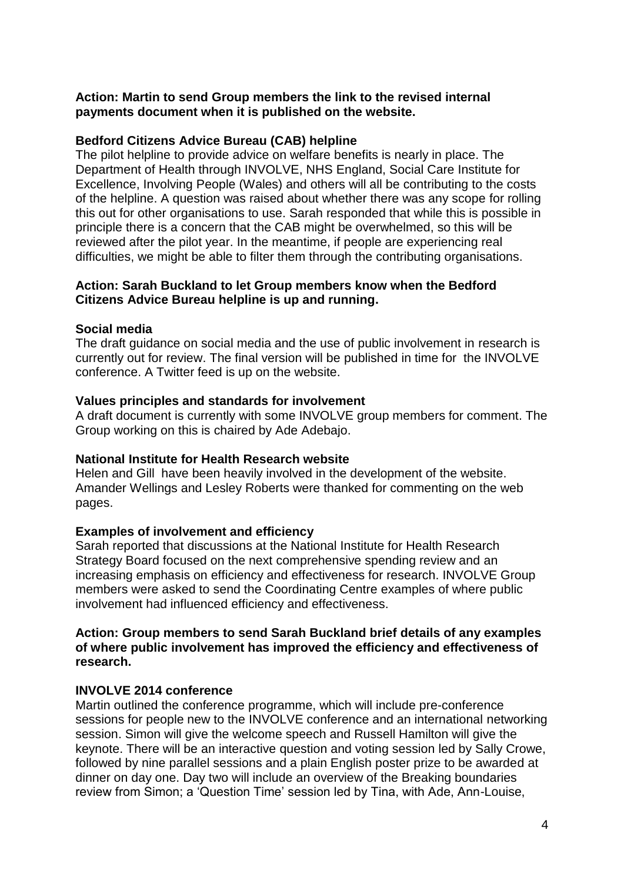# **Action: Martin to send Group members the link to the revised internal payments document when it is published on the website.**

# **Bedford Citizens Advice Bureau (CAB) helpline**

The pilot helpline to provide advice on welfare benefits is nearly in place. The Department of Health through INVOLVE, NHS England, Social Care Institute for Excellence, Involving People (Wales) and others will all be contributing to the costs of the helpline. A question was raised about whether there was any scope for rolling this out for other organisations to use. Sarah responded that while this is possible in principle there is a concern that the CAB might be overwhelmed, so this will be reviewed after the pilot year. In the meantime, if people are experiencing real difficulties, we might be able to filter them through the contributing organisations.

### **Action: Sarah Buckland to let Group members know when the Bedford Citizens Advice Bureau helpline is up and running.**

#### **Social media**

The draft guidance on social media and the use of public involvement in research is currently out for review. The final version will be published in time for the INVOLVE conference. A Twitter feed is up on the website.

#### **Values principles and standards for involvement**

A draft document is currently with some INVOLVE group members for comment. The Group working on this is chaired by Ade Adebajo.

# **National Institute for Health Research website**

Helen and Gill have been heavily involved in the development of the website. Amander Wellings and Lesley Roberts were thanked for commenting on the web pages.

# **Examples of involvement and efficiency**

Sarah reported that discussions at the National Institute for Health Research Strategy Board focused on the next comprehensive spending review and an increasing emphasis on efficiency and effectiveness for research. INVOLVE Group members were asked to send the Coordinating Centre examples of where public involvement had influenced efficiency and effectiveness.

#### **Action: Group members to send Sarah Buckland brief details of any examples of where public involvement has improved the efficiency and effectiveness of research.**

# **INVOLVE 2014 conference**

Martin outlined the conference programme, which will include pre-conference sessions for people new to the INVOLVE conference and an international networking session. Simon will give the welcome speech and Russell Hamilton will give the keynote. There will be an interactive question and voting session led by Sally Crowe, followed by nine parallel sessions and a plain English poster prize to be awarded at dinner on day one. Day two will include an overview of the Breaking boundaries review from Simon; a 'Question Time' session led by Tina, with Ade, Ann-Louise,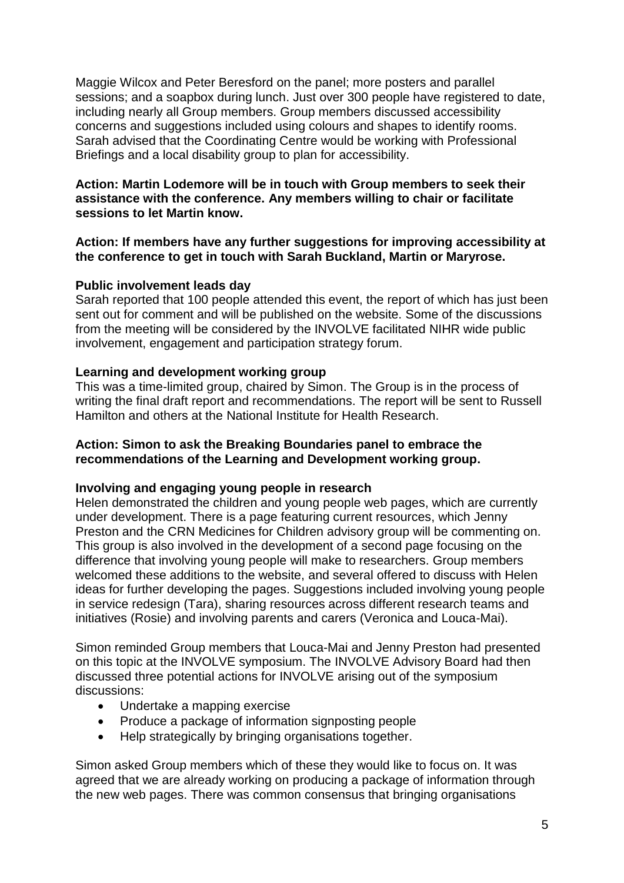Maggie Wilcox and Peter Beresford on the panel; more posters and parallel sessions; and a soapbox during lunch. Just over 300 people have registered to date, including nearly all Group members. Group members discussed accessibility concerns and suggestions included using colours and shapes to identify rooms. Sarah advised that the Coordinating Centre would be working with Professional Briefings and a local disability group to plan for accessibility.

# **Action: Martin Lodemore will be in touch with Group members to seek their assistance with the conference. Any members willing to chair or facilitate sessions to let Martin know.**

# **Action: If members have any further suggestions for improving accessibility at the conference to get in touch with Sarah Buckland, Martin or Maryrose.**

#### **Public involvement leads day**

Sarah reported that 100 people attended this event, the report of which has just been sent out for comment and will be published on the website. Some of the discussions from the meeting will be considered by the INVOLVE facilitated NIHR wide public involvement, engagement and participation strategy forum.

#### **Learning and development working group**

This was a time-limited group, chaired by Simon. The Group is in the process of writing the final draft report and recommendations. The report will be sent to Russell Hamilton and others at the National Institute for Health Research.

#### **Action: Simon to ask the Breaking Boundaries panel to embrace the recommendations of the Learning and Development working group.**

#### **Involving and engaging young people in research**

Helen demonstrated the children and young people web pages, which are currently under development. There is a page featuring current resources, which Jenny Preston and the CRN Medicines for Children advisory group will be commenting on. This group is also involved in the development of a second page focusing on the difference that involving young people will make to researchers. Group members welcomed these additions to the website, and several offered to discuss with Helen ideas for further developing the pages. Suggestions included involving young people in service redesign (Tara), sharing resources across different research teams and initiatives (Rosie) and involving parents and carers (Veronica and Louca-Mai).

Simon reminded Group members that Louca-Mai and Jenny Preston had presented on this topic at the INVOLVE symposium. The INVOLVE Advisory Board had then discussed three potential actions for INVOLVE arising out of the symposium discussions:

- Undertake a mapping exercise
- Produce a package of information signposting people
- Help strategically by bringing organisations together.

Simon asked Group members which of these they would like to focus on. It was agreed that we are already working on producing a package of information through the new web pages. There was common consensus that bringing organisations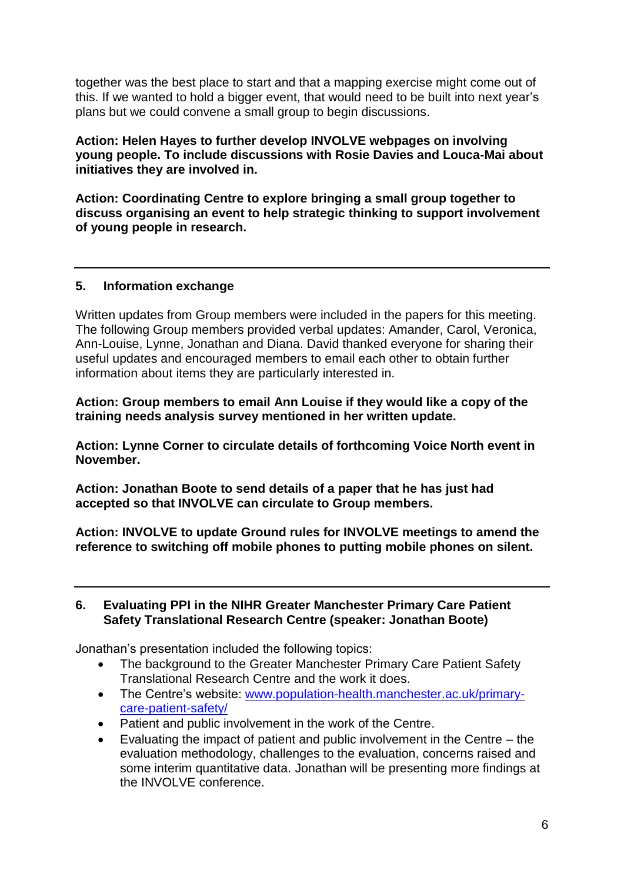together was the best place to start and that a mapping exercise might come out of this. If we wanted to hold a bigger event, that would need to be built into next year's plans but we could convene a small group to begin discussions.

**Action: Helen Hayes to further develop INVOLVE webpages on involving young people. To include discussions with Rosie Davies and Louca-Mai about initiatives they are involved in.**

**Action: Coordinating Centre to explore bringing a small group together to discuss organising an event to help strategic thinking to support involvement of young people in research.** 

# **5. Information exchange**

Written updates from Group members were included in the papers for this meeting. The following Group members provided verbal updates: Amander, Carol, Veronica, Ann-Louise, Lynne, Jonathan and Diana. David thanked everyone for sharing their useful updates and encouraged members to email each other to obtain further information about items they are particularly interested in.

**Action: Group members to email Ann Louise if they would like a copy of the training needs analysis survey mentioned in her written update.**

**Action: Lynne Corner to circulate details of forthcoming Voice North event in November.**

**Action: Jonathan Boote to send details of a paper that he has just had accepted so that INVOLVE can circulate to Group members.**

**Action: INVOLVE to update Ground rules for INVOLVE meetings to amend the reference to switching off mobile phones to putting mobile phones on silent.** 

# **6. Evaluating PPI in the NIHR Greater Manchester Primary Care Patient Safety Translational Research Centre (speaker: Jonathan Boote)**

Jonathan's presentation included the following topics:

- The background to the Greater Manchester Primary Care Patient Safety Translational Research Centre and the work it does.
- The Centre's website: [www.population-health.manchester.ac.uk/primary](http://www.population-health.manchester.ac.uk/primary-care-patient-safety/)[care-patient-safety/](http://www.population-health.manchester.ac.uk/primary-care-patient-safety/)
- Patient and public involvement in the work of the Centre.
- Evaluating the impact of patient and public involvement in the Centre the evaluation methodology, challenges to the evaluation, concerns raised and some interim quantitative data. Jonathan will be presenting more findings at the INVOLVE conference.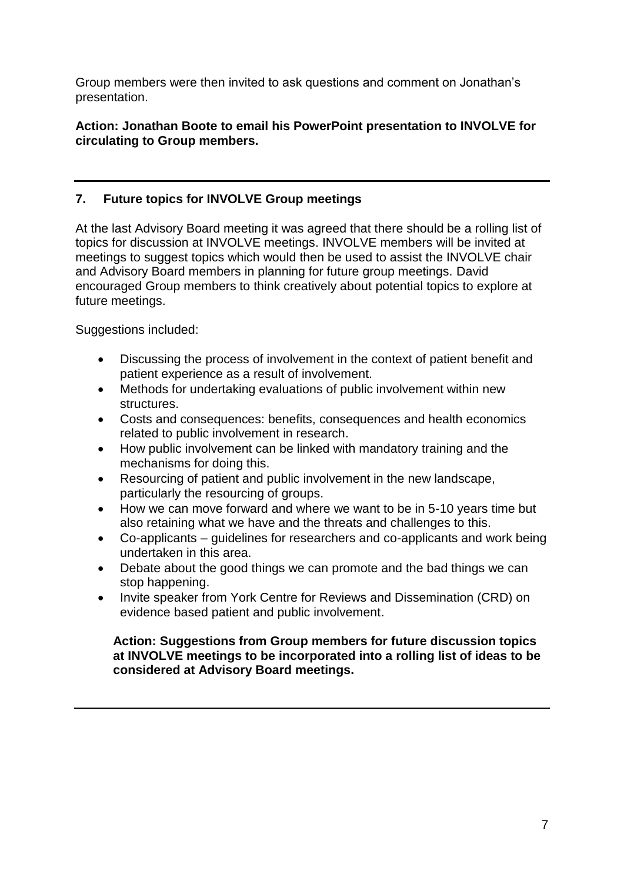Group members were then invited to ask questions and comment on Jonathan's presentation.

# **Action: Jonathan Boote to email his PowerPoint presentation to INVOLVE for circulating to Group members.**

# **7. Future topics for INVOLVE Group meetings**

At the last Advisory Board meeting it was agreed that there should be a rolling list of topics for discussion at INVOLVE meetings. INVOLVE members will be invited at meetings to suggest topics which would then be used to assist the INVOLVE chair and Advisory Board members in planning for future group meetings. David encouraged Group members to think creatively about potential topics to explore at future meetings.

Suggestions included:

- Discussing the process of involvement in the context of patient benefit and patient experience as a result of involvement.
- Methods for undertaking evaluations of public involvement within new structures.
- Costs and consequences: benefits, consequences and health economics related to public involvement in research.
- How public involvement can be linked with mandatory training and the mechanisms for doing this.
- Resourcing of patient and public involvement in the new landscape, particularly the resourcing of groups.
- How we can move forward and where we want to be in 5-10 years time but also retaining what we have and the threats and challenges to this.
- Co-applicants guidelines for researchers and co-applicants and work being undertaken in this area.
- Debate about the good things we can promote and the bad things we can stop happening.
- Invite speaker from York Centre for Reviews and Dissemination (CRD) on evidence based patient and public involvement.

# **Action: Suggestions from Group members for future discussion topics at INVOLVE meetings to be incorporated into a rolling list of ideas to be considered at Advisory Board meetings.**